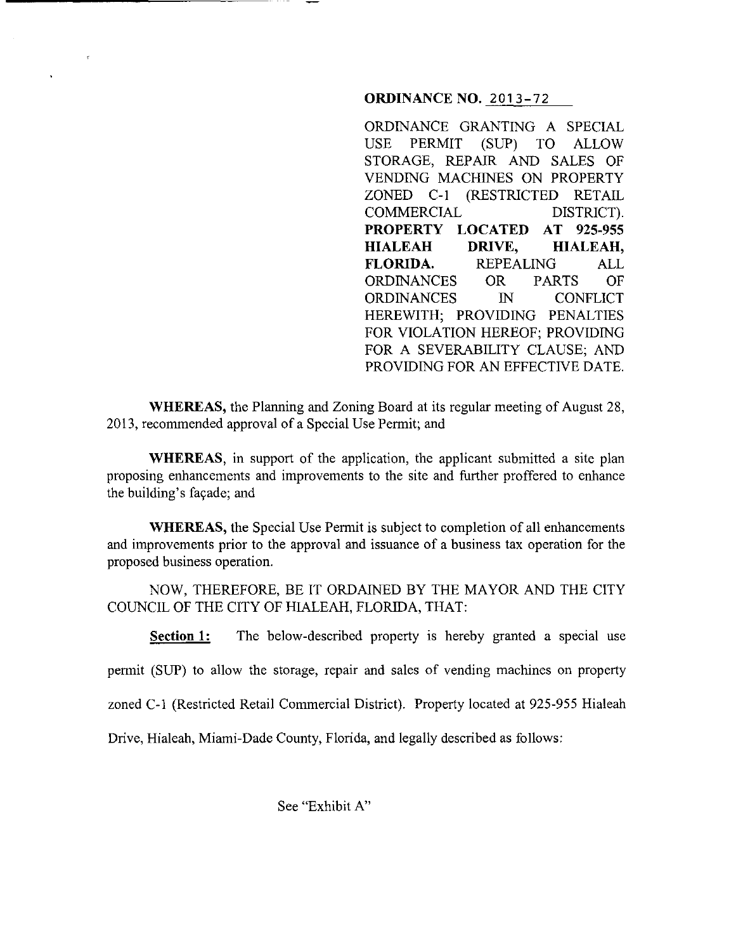## **ORDINANCE NO. 2013-72**

ORDINANCE GRANTING A SPECIAL USE PERMIT (SUP) TO ALLOW STORAGE, REPAIR AND SALES OF VENDING MACHINES ON PROPERTY ZONED C-1 (RESTRICTED RETAIL COMMERCIAL DISTRICT). **PROPERTY LOCATED AT 925-955 HIALEAH DRIVE, HIALEAH, FLORIDA.** REPEALING ALL ORDINANCES OR PARTS OF ORDINANCES IN CONFLICT HEREWITH; PROVIDING PENALTIES FOR VIOLATION HEREOF; PROVIDING FOR A SEVERABILITY CLAUSE; AND PROVIDING FOR AN EFFECTIVE DATE.

**WHEREAS,** the Planning and Zoning Board at its regular meeting of August 28, 2013, recommended approval of a Special Use Permit; and

**WHEREAS**, in support of the application, the applicant submitted a site plan proposing enhancements and improvements to the site and further proffered to enhance the building's façade; and

**WHEREAS,** the Special Use Permit is subject to completion of all enhancements and improvements prior to the approval and issuance of a business tax operation for the proposed business operation.

NOW, THEREFORE, BE IT ORDAINED BY THE MAYOR AND THE CITY COUNCIL OF THE CITY OF HIALEAH, FLORIDA, THAT:

**Section 1:** The below-described property is hereby granted a special use

permit (SUP) to allow the storage, repair and sales of vending machines on property

zoned C-1 (Restricted Retail Commercial District). Property located at 925-955 Hialeah

Drive, Hialeah, Miami-Dade County, Florida, and legally described as follows:

See "Exhibit A"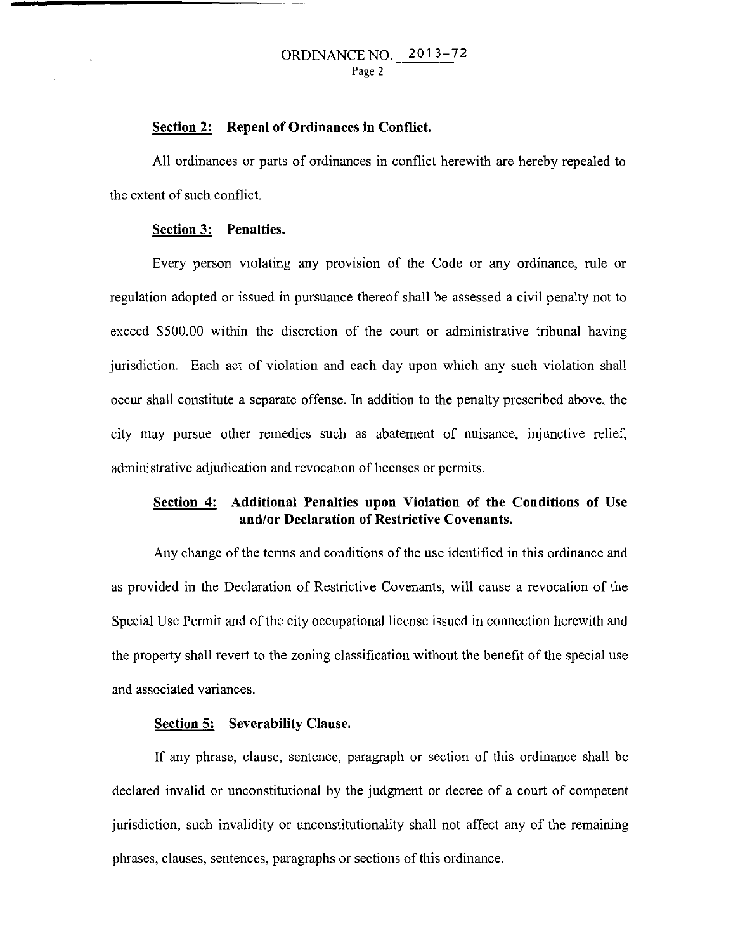#### **Section 2: Repeal of Ordinances in Conflict.**

All ordinances or parts of ordinances in conflict herewith are hereby repealed to the extent of such conflict.

## **Section 3: Penalties.**

Every person violating any provision of the Code or any ordinance, rule or regulation adopted or issued in pursuance thereof shall be assessed a civil penalty not to exceed \$500.00 within the discretion of the court or administrative tribunal having jurisdiction. Each act of violation and each day upon which any such violation shall occur shall constitute a separate offense. In addition to the penalty prescribed above, the city may pursue other remedies such as abatement of nuisance, injunctive relief, administrative adjudication and revocation of licenses or permits.

# **Section 4: Additional Penalties upon Violation of the Conditions of Use and/or Declaration of Restrictive Covenants.**

Any change of the terms and conditions of the use identified in this ordinance and as provided in the Declaration of Restrictive Covenants, will cause a revocation of the Special Use Permit and of the city occupational license issued in connection herewith and the property shall revert to the zoning classification without the benefit of the special use and associated variances.

## **Section 5: Severability Clause.**

If any phrase, clause, sentence, paragraph or section of this ordinance shall be declared invalid or unconstitutional by the judgment or decree of a court of competent jurisdiction, such invalidity or unconstitutionality shall not affect any of the remaining phrases, clauses, sentences, paragraphs or sections of this ordinance.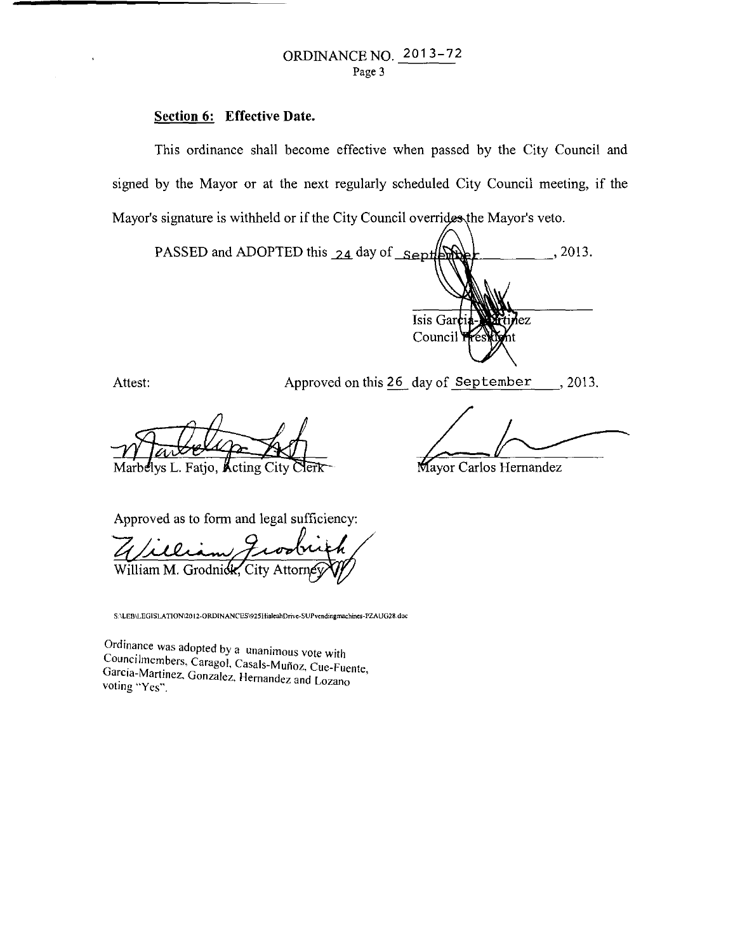# **Section 6: Effective Date.**

This ordinance shall become effective when passed by the City Council and signed by the Mayor or at the next regularly scheduled City Council meeting, if the Mayor's signature is withheld or if the City Council overrides the Mayor's veto.

PASSED and ADOPTED this 24 day of Sept , 2013. Isis Gar ez. Council<sup>1</sup>

Attest: Approved on this 26 day of September , 2013.

Marbelys L. Fatjo, Acting City

Experience Hernandez

Mayor Carlos Hernandez

Approved as to form and legal sufficiency:

William M. Grodnick, City Attorn

**S.\LEB\LEGISLATION\20l2-0RDINANCES\925HialeahDrive-SUPvendingmachines-PZAUG28.doc** 

Ordinance was adopted by a unanimous vote with Councilmembers, Caragol, Casals-Muñoz, Cue-Fuente, García-Martinez, Gonzalez, Hernandez and Lozano voting "Yes".